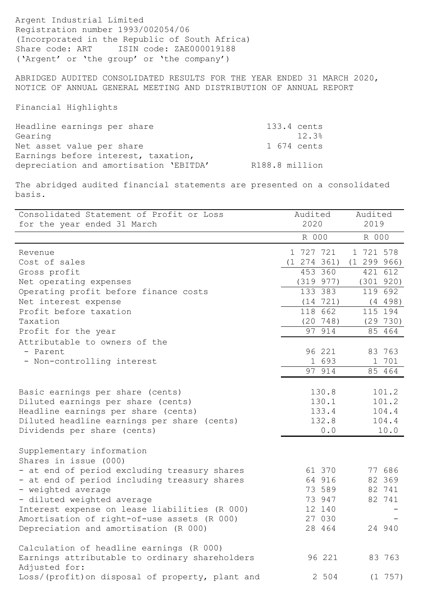Argent Industrial Limited Registration number 1993/002054/06 (Incorporated in the Republic of South Africa) Share code: ART ISIN code: ZAE000019188 ('Argent' or 'the group' or 'the company')

ABRIDGED AUDITED CONSOLIDATED RESULTS FOR THE YEAR ENDED 31 MARCH 2020, NOTICE OF ANNUAL GENERAL MEETING AND DISTRIBUTION OF ANNUAL REPORT

Financial Highlights

| Headline earnings per share            | 133.4 cents    |
|----------------------------------------|----------------|
| Gearing                                | 12.3%          |
| Net asset value per share              | 1 674 cents    |
| Earnings before interest, taxation,    |                |
| depreciation and amortisation 'EBITDA' | R188.8 million |

The abridged audited financial statements are presented on a consolidated basis.

| Consolidated Statement of Profit or Loss                        | Audited            | Audited     |
|-----------------------------------------------------------------|--------------------|-------------|
| for the year ended 31 March                                     | 2020               | 2019        |
|                                                                 | R 000              | R 000       |
| Revenue                                                         | 1 727 721          | 1 721 578   |
| Cost of sales                                                   | (1 274 361)        | (1 299 966) |
| Gross profit                                                    | 453 360            | 421 612     |
| Net operating expenses                                          | (319 977)          | (301 920)   |
| Operating profit before finance costs                           | 133 383            | 119 692     |
| Net interest expense                                            | (14 721)           | (4 498)     |
| Profit before taxation                                          | 118 662            | 115 194     |
| Taxation                                                        | $(20 \t 748)$      | (29 730)    |
| Profit for the year                                             | $\frac{1}{97}$ 914 | 85 464      |
| Attributable to owners of the                                   |                    |             |
| - Parent                                                        | 96 221             | 83 763      |
| - Non-controlling interest                                      | 1 693              | 1 701       |
|                                                                 | 97 914             | 85 464      |
| Basic earnings per share (cents)                                | 130.8              | 101.2       |
| Diluted earnings per share (cents)                              | 130.1              | 101.2       |
| Headline earnings per share (cents)                             | 133.4              | 104.4       |
| Diluted headline earnings per share (cents)                     | 132.8              | 104.4       |
| Dividends per share (cents)                                     | 0.0                | 10.0        |
| Supplementary information                                       |                    |             |
| Shares in issue (000)                                           |                    |             |
| - at end of period excluding treasury shares                    | 61 370             | 77 686      |
| - at end of period including treasury shares                    | 64 916             | 82 369      |
| - weighted average                                              | 73 589             | 82 741      |
| - diluted weighted average                                      | 73 947             | 82 741      |
| Interest expense on lease liabilities (R 000)                   | 12 140             |             |
| Amortisation of right-of-use assets (R 000)                     | 27 030             |             |
| Depreciation and amortisation (R 000)                           | 28 464             | 24 940      |
| Calculation of headline earnings (R 000)                        |                    |             |
| Earnings attributable to ordinary shareholders<br>Adjusted for: | 96 221             | 83 763      |
| Loss/(profit) on disposal of property, plant and                | 2 504              | $(1\ 757)$  |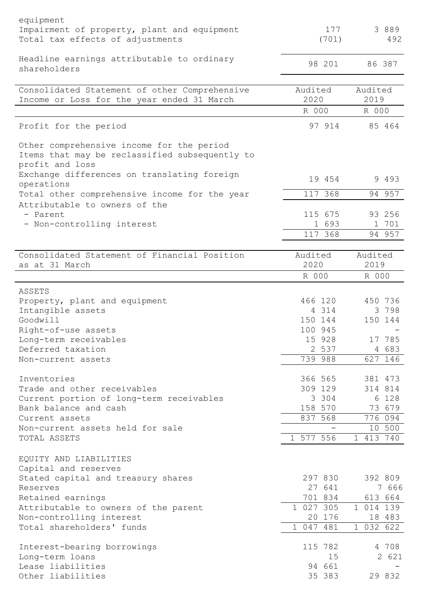| equipment<br>Impairment of property, plant and equipment<br>Total tax effects of adjustments                   | 177<br>(701)        | 3 8 8 9<br>492      |
|----------------------------------------------------------------------------------------------------------------|---------------------|---------------------|
| Headline earnings attributable to ordinary<br>shareholders                                                     | 98 201              | 86 387              |
| Consolidated Statement of other Comprehensive<br>Income or Loss for the year ended 31 March                    | Audited<br>2020     | Audited<br>2019     |
|                                                                                                                | R 000               | R 000               |
| Profit for the period                                                                                          | 97 914              | 85 464              |
| Other comprehensive income for the period<br>Items that may be reclassified subsequently to<br>profit and loss |                     |                     |
| Exchange differences on translating foreign<br>operations                                                      | 19 454              | 9 4 9 3             |
| Total other comprehensive income for the year<br>Attributable to owners of the                                 | 117 368             | 94 957              |
| - Parent                                                                                                       | 115 675             | 93 256              |
| - Non-controlling interest                                                                                     | 1 693               | 1 701               |
|                                                                                                                | 117, 368            | 94 957              |
| Consolidated Statement of Financial Position<br>as at 31 March                                                 | Audited<br>2020     | Audited<br>2019     |
|                                                                                                                | R 000               | R 000               |
| ASSETS                                                                                                         |                     |                     |
| Property, plant and equipment                                                                                  | 466 120             | 450 736             |
| Intangible assets                                                                                              | 4 3 1 4             | 3 7 9 8             |
| Goodwill                                                                                                       | 150 144             | 150 144             |
| Right-of-use assets<br>Long-term receivables                                                                   | 100 945<br>15 928   | 17 785              |
| Deferred taxation                                                                                              | 2 537               | 4 683               |
| Non-current assets                                                                                             | 739 988             | 627 146             |
|                                                                                                                |                     |                     |
| Inventories                                                                                                    | 366 565             | 381 473             |
| Trade and other receivables                                                                                    | 309 129             | 314 814             |
| Current portion of long-term receivables<br>Bank balance and cash                                              | 3 3 0 4<br>158 570  | 6 128<br>73 679     |
| Current assets                                                                                                 | 837 568             | 776 094             |
| Non-current assets held for sale                                                                               |                     | 10 500              |
| TOTAL ASSETS                                                                                                   | 1 577 556           | 1 413 740           |
| EQUITY AND LIABILITIES<br>Capital and reserves                                                                 |                     |                     |
| Stated capital and treasury shares                                                                             | 297 830             | 392 809             |
| Reserves                                                                                                       | 27 641              | 7 666               |
| Retained earnings                                                                                              | 701 834             | 613 664             |
| Attributable to owners of the parent                                                                           | 1 027 305           | 1 014 139           |
| Non-controlling interest<br>Total shareholders' funds                                                          | 20 176<br>1 047 481 | 18 483<br>1 032 622 |
|                                                                                                                |                     |                     |
| Interest-bearing borrowings                                                                                    | 115 782             | 4 708               |
| Long-term loans                                                                                                | 15                  | 2 621               |
| Lease liabilities<br>Other liabilities                                                                         | 94 661<br>35 383    | 29 832              |
|                                                                                                                |                     |                     |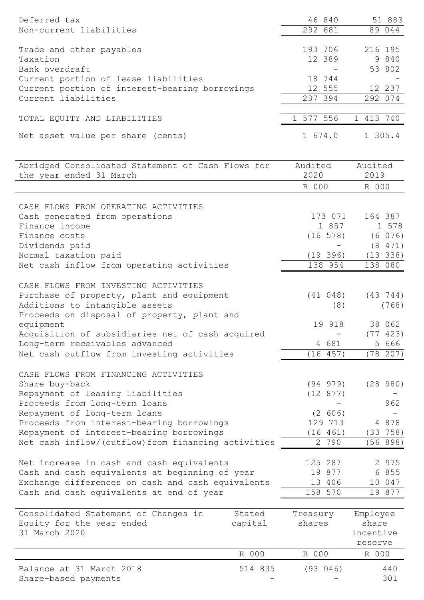| Deferred tax<br>Non-current liabilities                                                                                                                                                                                             |                   | 46 840<br>292 681                          | 51 883<br>89 044                          |
|-------------------------------------------------------------------------------------------------------------------------------------------------------------------------------------------------------------------------------------|-------------------|--------------------------------------------|-------------------------------------------|
| Trade and other payables<br>Taxation<br>Bank overdraft<br>Current portion of lease liabilities                                                                                                                                      |                   | 193 706<br>12 389<br>18 744                | 216 195<br>9 840<br>53 802                |
| Current portion of interest-bearing borrowings<br>Current liabilities                                                                                                                                                               |                   | 12 555<br>237 394                          | 12 237<br>292 074                         |
| TOTAL EQUITY AND LIABILITIES                                                                                                                                                                                                        |                   | 1 577 556                                  | 1 413 740                                 |
| Net asset value per share (cents)                                                                                                                                                                                                   |                   | 1 674.0                                    | 1 305.4                                   |
| Abridged Consolidated Statement of Cash Flows for<br>the year ended 31 March                                                                                                                                                        |                   | Audited<br>2020<br>R 000                   | Audited<br>2019<br>R 000                  |
|                                                                                                                                                                                                                                     |                   |                                            |                                           |
| CASH FLOWS FROM OPERATING ACTIVITIES<br>Cash generated from operations<br>Finance income<br>Finance costs                                                                                                                           |                   | 173 071<br>1 857<br>$(16\ 578)$            | 164 387<br>1 578<br>(6 076)               |
| Dividends paid<br>Normal taxation paid<br>Net cash inflow from operating activities                                                                                                                                                 |                   | (19 396)<br>138 954                        | (8 471)<br>(13 338)<br>138 080            |
| CASH FLOWS FROM INVESTING ACTIVITIES<br>Purchase of property, plant and equipment<br>Additions to intangible assets<br>Proceeds on disposal of property, plant and<br>equipment<br>Acquisition of subsidiaries net of cash acquired |                   | (41 048)<br>(8)<br>19 918                  | (43 744)<br>(768)<br>38 062<br>(77 423)   |
| Long-term receivables advanced<br>Net cash outflow from investing activities                                                                                                                                                        |                   | 4 681<br>(16 457)                          | 5 666<br>(78 207)                         |
| CASH FLOWS FROM FINANCING ACTIVITIES<br>Share buy-back<br>Repayment of leasing liabilities<br>Proceeds from long-term loans<br>Repayment of long-term loans<br>Proceeds from interest-bearing borrowings                            |                   | (94 979)<br>(12 877)<br>(2 606)<br>129 713 | (28980)<br>962<br>4 8 7 8                 |
| Repayment of interest-bearing borrowings<br>Net cash inflow/(outflow) from financing activities                                                                                                                                     |                   | (16 461)<br>2 790                          | (33 758)<br>(56 898)                      |
| Net increase in cash and cash equivalents<br>Cash and cash equivalents at beginning of year<br>Exchange differences on cash and cash equivalents<br>Cash and cash equivalents at end of year                                        |                   | 125 287<br>19 877<br>13 406<br>158 570     | 2 975<br>6 855<br>10 047<br>19 877        |
| Consolidated Statement of Changes in<br>Equity for the year ended<br>31 March 2020                                                                                                                                                  | Stated<br>capital | Treasury<br>shares                         | Employee<br>share<br>incentive<br>reserve |
|                                                                                                                                                                                                                                     | R 000             | R 000                                      | R 000                                     |

| Balance at 31 March 2018 | 514 835 | (93 046)                 | 440 |
|--------------------------|---------|--------------------------|-----|
| Share-based payments     |         | $\overline{\phantom{0}}$ |     |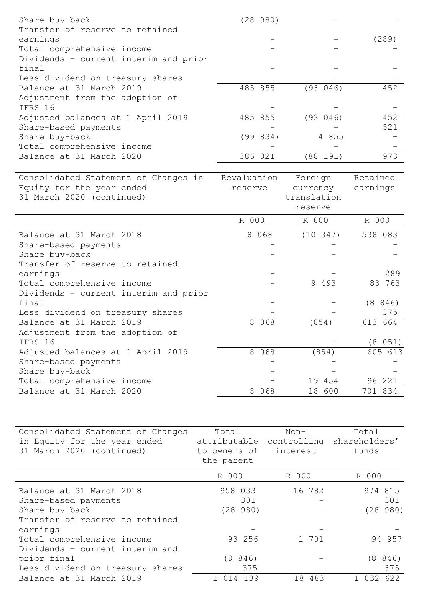| earnings<br>(289)<br>Total comprehensive income<br>Dividends - current interim and prior<br>final<br>Less dividend on treasury shares<br>485 855<br>452<br>Balance at 31 March 2019<br>(93 046)<br>Adjustment from the adoption of<br>IFRS 16<br>485 855<br>(93 046)<br>452<br>Adjusted balances at 1 April 2019<br>521 | Transfer of reserve to retained                                   | (289980) |      |       |
|-------------------------------------------------------------------------------------------------------------------------------------------------------------------------------------------------------------------------------------------------------------------------------------------------------------------------|-------------------------------------------------------------------|----------|------|-------|
|                                                                                                                                                                                                                                                                                                                         |                                                                   |          |      |       |
|                                                                                                                                                                                                                                                                                                                         |                                                                   |          |      |       |
|                                                                                                                                                                                                                                                                                                                         |                                                                   |          |      |       |
|                                                                                                                                                                                                                                                                                                                         |                                                                   |          |      |       |
|                                                                                                                                                                                                                                                                                                                         |                                                                   |          |      |       |
|                                                                                                                                                                                                                                                                                                                         |                                                                   |          |      |       |
|                                                                                                                                                                                                                                                                                                                         |                                                                   |          |      |       |
|                                                                                                                                                                                                                                                                                                                         |                                                                   |          |      |       |
|                                                                                                                                                                                                                                                                                                                         |                                                                   |          |      |       |
|                                                                                                                                                                                                                                                                                                                         |                                                                   |          |      |       |
|                                                                                                                                                                                                                                                                                                                         | Share-based payments                                              |          |      |       |
| (99 834)<br>Share buy-back<br>4 855                                                                                                                                                                                                                                                                                     |                                                                   |          |      |       |
| Total comprehensive income                                                                                                                                                                                                                                                                                              |                                                                   |          |      |       |
| 973<br>Balance at 31 March 2020<br>386 021<br>(88 191)                                                                                                                                                                                                                                                                  |                                                                   |          |      |       |
|                                                                                                                                                                                                                                                                                                                         |                                                                   |          |      |       |
| Revaluation<br>Consolidated Statement of Changes in<br>Retained<br>Foreign                                                                                                                                                                                                                                              |                                                                   |          |      |       |
| Equity for the year ended<br>earnings<br>currency<br>reserve                                                                                                                                                                                                                                                            |                                                                   |          |      |       |
| 31 March 2020 (continued)<br>translation                                                                                                                                                                                                                                                                                |                                                                   |          |      |       |
| reserve                                                                                                                                                                                                                                                                                                                 |                                                                   |          |      |       |
|                                                                                                                                                                                                                                                                                                                         |                                                                   |          |      |       |
| R 000<br>R 000<br>R 000                                                                                                                                                                                                                                                                                                 |                                                                   |          |      |       |
| Balance at 31 March 2018<br>8 0 6 8<br>$(10 \t347)$<br>538 083                                                                                                                                                                                                                                                          |                                                                   |          |      |       |
| Share-based payments                                                                                                                                                                                                                                                                                                    |                                                                   |          |      |       |
| Share buy-back                                                                                                                                                                                                                                                                                                          |                                                                   |          |      |       |
| Transfer of reserve to retained                                                                                                                                                                                                                                                                                         |                                                                   |          |      |       |
| 289<br>earnings                                                                                                                                                                                                                                                                                                         |                                                                   |          |      |       |
| 9 4 9 3<br>83 763<br>Total comprehensive income                                                                                                                                                                                                                                                                         |                                                                   |          |      |       |
| Dividends - current interim and prior                                                                                                                                                                                                                                                                                   |                                                                   |          |      |       |
| final<br>(8846)                                                                                                                                                                                                                                                                                                         |                                                                   |          |      |       |
| 375<br>Less dividend on treasury shares                                                                                                                                                                                                                                                                                 |                                                                   |          |      |       |
| 8 0 6 8<br>(854)<br>613 664<br>Balance at 31 March 2019                                                                                                                                                                                                                                                                 |                                                                   |          |      |       |
| Adjustment from the adoption of                                                                                                                                                                                                                                                                                         |                                                                   |          |      |       |
| IFRS 16<br>(8 051)                                                                                                                                                                                                                                                                                                      |                                                                   |          |      |       |
| 8 0 6 8<br>(854)<br>605 613<br>Adjusted balances at 1 April 2019                                                                                                                                                                                                                                                        |                                                                   |          |      |       |
|                                                                                                                                                                                                                                                                                                                         |                                                                   |          |      |       |
| Share-based payments                                                                                                                                                                                                                                                                                                    |                                                                   |          |      |       |
| Share buy-back                                                                                                                                                                                                                                                                                                          |                                                                   |          |      |       |
| Total comprehensive income<br>19 454<br>96 221                                                                                                                                                                                                                                                                          |                                                                   |          |      |       |
| Balance at 31 March 2020<br>8 0 6 8<br>18 600<br>701 834                                                                                                                                                                                                                                                                |                                                                   |          |      |       |
|                                                                                                                                                                                                                                                                                                                         |                                                                   |          |      |       |
|                                                                                                                                                                                                                                                                                                                         |                                                                   |          |      |       |
| attributable<br>shareholders'<br>controlling                                                                                                                                                                                                                                                                            |                                                                   |          |      |       |
| 31 March 2020 (continued)<br>interest<br>funds<br>to owners of                                                                                                                                                                                                                                                          | Consolidated Statement of Changes<br>in Equity for the year ended | Total    | Non- | Total |

| the parent                       |         |           |             |  |  |
|----------------------------------|---------|-----------|-------------|--|--|
|                                  | R 000   | R 000     | R 000       |  |  |
| Balance at 31 March 2018         | 958 033 | 16 782    | 974 815     |  |  |
| Share-based payments             | 301     |           | 301         |  |  |
| Share buy-back                   | (28980) |           | (28980)     |  |  |
| Transfer of reserve to retained  |         |           |             |  |  |
| earnings                         |         |           |             |  |  |
| Total comprehensive income       | 93 256  | 1 701     | 94 957      |  |  |
| Dividends - current interim and  |         |           |             |  |  |
| prior final                      | (8846)  |           | (8846)      |  |  |
| Less dividend on treasury shares | 375     |           | 375         |  |  |
| Balance at 31 March 2019         | 39<br>4 | 483<br>18 | 622<br>0.32 |  |  |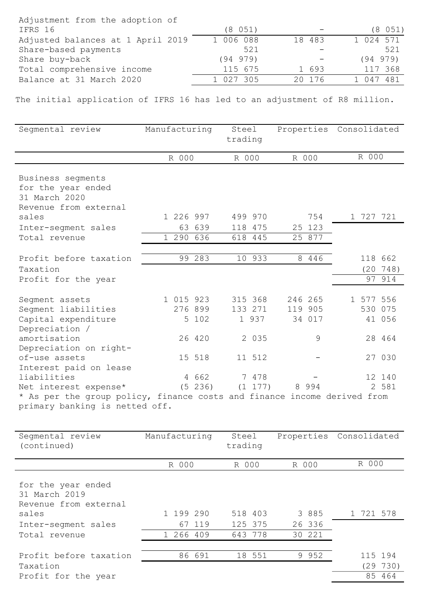| Adjustment from the adoption of   |           |                          |           |
|-----------------------------------|-----------|--------------------------|-----------|
| IFRS 16                           | (8 051)   | $\overline{\phantom{a}}$ | (8 051)   |
| Adjusted balances at 1 April 2019 | 1 006 088 | 18 483                   | 1 024 571 |
| Share-based payments              | 521       |                          | 521       |
| Share buy-back                    | (94979)   |                          | (94 979)  |
| Total comprehensive income        | 115 675   | 1 693                    | 117 368   |
| Balance at 31 March 2020          | 1 027 305 | 20 176                   | 1 047 481 |

The initial application of IFRS 16 has led to an adjustment of R8 million.

| Segmental review                                                                                                                                                                                                                                                                                                          | Manufacturing                                                         | Steel<br>trading                      |                                                      |                        | Properties Consolidated |                                                          |
|---------------------------------------------------------------------------------------------------------------------------------------------------------------------------------------------------------------------------------------------------------------------------------------------------------------------------|-----------------------------------------------------------------------|---------------------------------------|------------------------------------------------------|------------------------|-------------------------|----------------------------------------------------------|
|                                                                                                                                                                                                                                                                                                                           | R 000                                                                 | R 000                                 | R 000                                                |                        | R 000                   |                                                          |
| Business segments<br>for the year ended<br>31 March 2020<br>Revenue from external                                                                                                                                                                                                                                         |                                                                       |                                       |                                                      |                        |                         |                                                          |
| sales                                                                                                                                                                                                                                                                                                                     | 1 226 997                                                             | 499 970                               |                                                      | 754                    | 1 727 721               |                                                          |
| Inter-segment sales                                                                                                                                                                                                                                                                                                       | 63 639                                                                | 118 475                               |                                                      | 25 123                 |                         |                                                          |
| Total revenue                                                                                                                                                                                                                                                                                                             | 1 290 636                                                             | 618 445                               |                                                      | 25 877                 |                         |                                                          |
| Profit before taxation<br>Taxation<br>Profit for the year                                                                                                                                                                                                                                                                 | 99 283                                                                | 10 933                                |                                                      | 8 4 4 6                |                         | 118 662<br>$(20\ 748)$<br>97 914                         |
| Segment assets<br>Segment liabilities<br>Capital expenditure<br>Depreciation /<br>amortisation<br>Depreciation on right-<br>of-use assets<br>Interest paid on lease<br>liabilities<br>Net interest expense*<br>* As per the group policy, finance costs and finance income derived from<br>primary banking is netted off. | 1 015 923<br>276 899<br>5 102<br>26 420<br>15 518<br>4 662<br>(5 236) | 315 368<br>133 271<br>1 937<br>11 512 | 246 265<br>119 905<br>2 0 3 5<br>7 478<br>$(1\;177)$ | 34 017<br>9<br>8 9 9 4 | 1 577 556               | 530 075<br>41 056<br>28 464<br>27 030<br>12 140<br>2 581 |

| Seqmental review<br>(continued)                                                                               | Manufacturing                    | Steel<br>trading              |                           | Properties Consolidated |
|---------------------------------------------------------------------------------------------------------------|----------------------------------|-------------------------------|---------------------------|-------------------------|
|                                                                                                               | R 000                            | R 000                         | R 000                     | R 000                   |
| for the year ended<br>31 March 2019<br>Revenue from external<br>sales<br>Inter-segment sales<br>Total revenue | 1 199 290<br>67 119<br>1 266 409 | 518 403<br>125 375<br>643 778 | 3 885<br>26 336<br>30 221 | 1 721 578               |
| Profit before taxation<br>Taxation                                                                            | 86 691                           | 18 551                        | 9 9 5 2                   | 115 194<br>(29 730)     |
| Profit for the year                                                                                           |                                  |                               |                           | 85 464                  |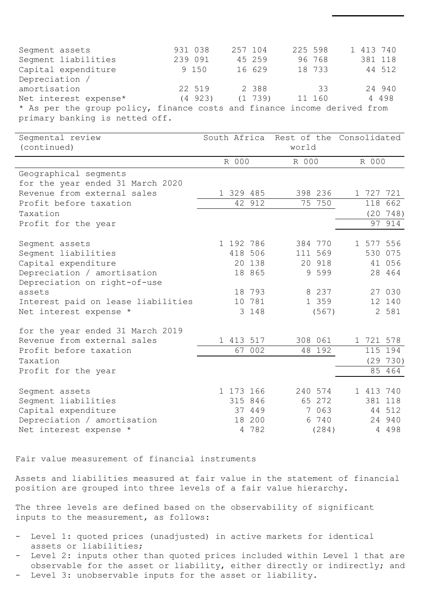| Seqment assets                                                           | 931 038    | 257 104    | 225 598 | 1 413 740 |
|--------------------------------------------------------------------------|------------|------------|---------|-----------|
| Segment liabilities                                                      | 239 091    | 45 259     | 96 768  | 381 118   |
| Capital expenditure                                                      | 9 150      | 16 629     | 18 733  | 44 512    |
| Depreciation /                                                           |            |            |         |           |
| amortisation                                                             | 22 519     | 2 388      | 33      | 24 940    |
| Net interest expense*                                                    | $(4\ 923)$ | $(1\ 739)$ | 11 160  | 4 4 9 8   |
| * As per the group policy, finance costs and finance income derived from |            |            |         |           |
| primary banking is netted off.                                           |            |            |         |           |

| Segmental review<br>(continued)                             | South Africa |                | Rest of the Consolidated<br>world |         |       |           |           |
|-------------------------------------------------------------|--------------|----------------|-----------------------------------|---------|-------|-----------|-----------|
|                                                             |              | R 000<br>R 000 |                                   |         | R 000 |           |           |
| Geographical segments                                       |              |                |                                   |         |       |           |           |
| for the year ended 31 March 2020                            |              |                |                                   |         |       |           |           |
| Revenue from external sales                                 | 1 329 485    |                |                                   | 398 236 |       | 1 727 721 |           |
| Profit before taxation                                      |              | 42 912         |                                   | 75 750  |       |           | 118 662   |
| Taxation                                                    |              |                |                                   |         |       |           | (20 748)  |
| Profit for the year                                         |              |                |                                   |         |       | 97        | 914       |
| Segment assets                                              | 1 192 786    |                |                                   | 384 770 |       | 1 577 556 |           |
| Seqment liabilities                                         |              | 418 506        |                                   | 111 569 |       |           | 530 075   |
| Capital expenditure                                         |              | 20 138         |                                   | 20 918  |       |           | 41 056    |
| Depreciation / amortisation<br>Depreciation on right-of-use |              | 18 865         |                                   | 9 5 9 9 |       |           | 28 464    |
| assets                                                      |              | 18 793         |                                   | 8 2 3 7 |       |           | 27 030    |
| Interest paid on lease liabilities                          |              | 10 781         |                                   | 1 359   |       |           | 12 140    |
| Net interest expense *                                      |              | 3 148          |                                   | (567)   |       |           | 2 581     |
| for the year ended 31 March 2019                            |              |                |                                   |         |       |           |           |
| Revenue from external sales                                 | 1 413 517    |                |                                   | 308 061 |       |           | 1 721 578 |
| Profit before taxation                                      |              | 67 002         |                                   | 48 192  |       |           | 115 194   |
| Taxation                                                    |              |                |                                   |         |       |           | (29730)   |
| Profit for the year                                         |              |                |                                   |         |       |           | 85 464    |
| Segment assets                                              | 1 173 166    |                |                                   | 240 574 |       | 1 413 740 |           |
| Seqment liabilities                                         |              | 315 846        |                                   | 65 272  |       |           | 381 118   |
| Capital expenditure                                         |              | 37 449         |                                   | 7 0 6 3 |       |           | 44 512    |
| Depreciation / amortisation                                 |              | 18 200         |                                   | 6 740   |       |           | 24 940    |
| Net interest expense *                                      |              | 4 782          |                                   | (284)   |       |           | 4 4 9 8   |

Fair value measurement of financial instruments

Assets and liabilities measured at fair value in the statement of financial position are grouped into three levels of a fair value hierarchy.

The three levels are defined based on the observability of significant inputs to the measurement, as follows:

- Level 1: quoted prices (unadjusted) in active markets for identical assets or liabilities;
- Level 2: inputs other than quoted prices included within Level 1 that are observable for the asset or liability, either directly or indirectly; and Level 3: unobservable inputs for the asset or liability.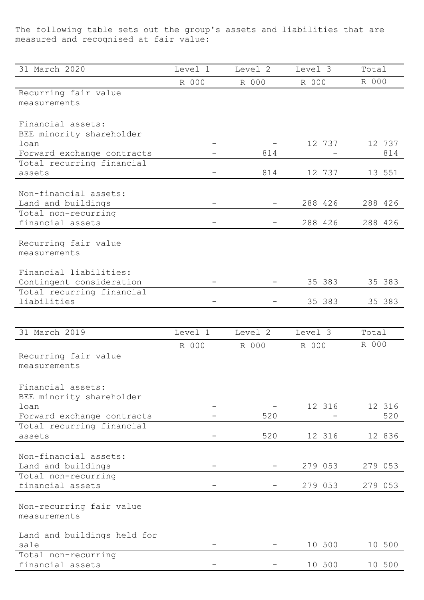The following table sets out the group's assets and liabilities that are measured and recognised at fair value:

| 31 March 2020                           | Level 1 | Level 2 | Level 3 | Total   |
|-----------------------------------------|---------|---------|---------|---------|
|                                         | R 000   | R 000   | R 000   | R 000   |
| Recurring fair value                    |         |         |         |         |
| measurements                            |         |         |         |         |
|                                         |         |         |         |         |
| Financial assets:                       |         |         |         |         |
| BEE minority shareholder                |         |         |         |         |
| loan                                    |         |         | 12 737  | 12 737  |
| Forward exchange contracts              |         | 814     |         | 814     |
| Total recurring financial               |         |         |         |         |
| assets                                  |         | 814     | 12 737  | 13 551  |
|                                         |         |         |         |         |
| Non-financial assets:                   |         |         |         |         |
| Land and buildings                      |         |         | 288 426 | 288 426 |
| Total non-recurring                     |         |         |         |         |
| financial assets                        |         |         | 288 426 | 288 426 |
|                                         |         |         |         |         |
| Recurring fair value                    |         |         |         |         |
| measurements                            |         |         |         |         |
|                                         |         |         |         |         |
| Financial liabilities:                  |         |         |         |         |
| Contingent consideration                |         |         | 35 383  | 35 383  |
| Total recurring financial               |         |         |         |         |
| liabilities                             |         |         | 35 383  | 35 383  |
|                                         |         |         |         |         |
| 31 March 2019                           | Level 1 | Level 2 | Level 3 | Total   |
|                                         |         |         |         |         |
|                                         |         |         |         |         |
|                                         | R 000   | R 000   | R 000   | R 000   |
| Recurring fair value                    |         |         |         |         |
| measurements                            |         |         |         |         |
|                                         |         |         |         |         |
| Financial assets:                       |         |         |         |         |
| BEE minority shareholder                |         |         |         |         |
| loan                                    |         |         | 12 316  | 12 316  |
| Forward exchange contracts              |         | 520     |         | 520     |
| Total recurring financial               |         |         |         |         |
| assets                                  |         | 520     | 12 316  | 12 836  |
|                                         |         |         |         |         |
| Non-financial assets:                   |         |         |         |         |
| Land and buildings                      |         |         | 279 053 | 279 053 |
| Total non-recurring                     |         |         |         |         |
| financial assets                        |         |         | 279 053 | 279 053 |
|                                         |         |         |         |         |
| Non-recurring fair value                |         |         |         |         |
| measurements                            |         |         |         |         |
|                                         |         |         |         |         |
| Land and buildings held for             |         |         |         |         |
| sale                                    |         |         | 10 500  | 10 500  |
| Total non-recurring<br>financial assets |         |         | 10 500  | 10 500  |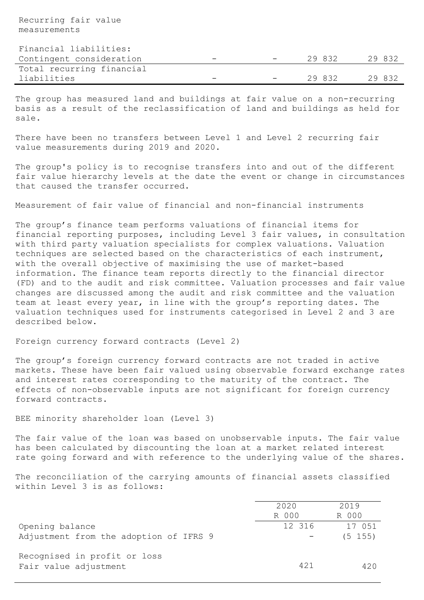Recurring fair value measurements

Financial liabilities:

| Contingent consideration  | $\overline{\phantom{a}}$ | <b>Service</b> | 29832 | 29 832 |
|---------------------------|--------------------------|----------------|-------|--------|
| Total recurring financial |                          |                |       |        |
| liabilities               | $\overline{\phantom{0}}$ | $\sim$         | 29832 | 29 832 |

The group has measured land and buildings at fair value on a non-recurring basis as a result of the reclassification of land and buildings as held for sale.

There have been no transfers between Level 1 and Level 2 recurring fair value measurements during 2019 and 2020.

The group's policy is to recognise transfers into and out of the different fair value hierarchy levels at the date the event or change in circumstances that caused the transfer occurred.

Measurement of fair value of financial and non-financial instruments

The group's finance team performs valuations of financial items for financial reporting purposes, including Level 3 fair values, in consultation with third party valuation specialists for complex valuations. Valuation techniques are selected based on the characteristics of each instrument, with the overall objective of maximising the use of market-based information. The finance team reports directly to the financial director (FD) and to the audit and risk committee. Valuation processes and fair value changes are discussed among the audit and risk committee and the valuation team at least every year, in line with the group's reporting dates. The valuation techniques used for instruments categorised in Level 2 and 3 are described below.

Foreign currency forward contracts (Level 2)

The group's foreign currency forward contracts are not traded in active markets. These have been fair valued using observable forward exchange rates and interest rates corresponding to the maturity of the contract. The effects of non-observable inputs are not significant for foreign currency forward contracts.

# BEE minority shareholder loan (Level 3)

The fair value of the loan was based on unobservable inputs. The fair value has been calculated by discounting the loan at a market related interest rate going forward and with reference to the underlying value of the shares.

The reconciliation of the carrying amounts of financial assets classified within Level 3 is as follows:

|                                                           | 2020<br>R 000 | 2019<br>R 000         |
|-----------------------------------------------------------|---------------|-----------------------|
| Opening balance<br>Adjustment from the adoption of IFRS 9 | 12 316        | 17 051<br>$(5 \t155)$ |
| Recognised in profit or loss<br>Fair value adjustment     | 421           | 420                   |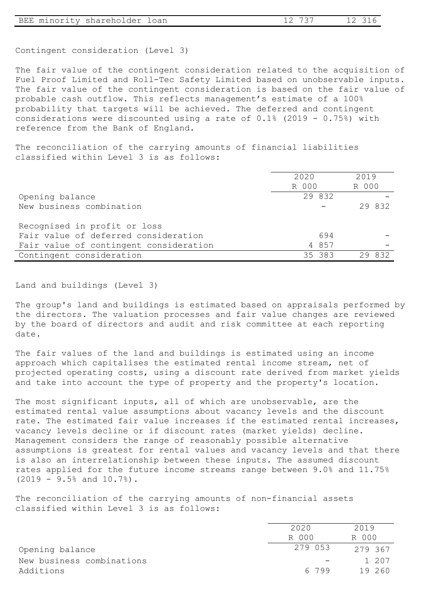| BEE minority shareholder loan | 12 737 | 12 316 |
|-------------------------------|--------|--------|
|-------------------------------|--------|--------|

Contingent consideration (Level 3)

The fair value of the contingent consideration related to the acquisition of Fuel Proof Limited and Roll-Tec Safety Limited based on unobservable inputs. The fair value of the contingent consideration is based on the fair value of probable cash outflow. This reflects management's estimate of a 100% probability that targets will be achieved. The deferred and contingent considerations were discounted using a rate of 0.1% (2019 - 0.75%) with reference from the Bank of England.

The reconciliation of the carrying amounts of financial liabilities classified within Level 3 is as follows:

|                                        | 2020                         | 2019      |
|----------------------------------------|------------------------------|-----------|
|                                        | R 000                        | R 000     |
| Opening balance                        | 29 832                       |           |
| New business combination               | $\qquad \qquad \blacksquare$ | 29 832    |
|                                        |                              |           |
| Recognised in profit or loss           |                              |           |
| Fair value of deferred consideration   | 694                          |           |
| Fair value of contingent consideration | 4 8 5 7                      |           |
| Contingent consideration               | 35 383                       | 832<br>29 |

Land and buildings (Level 3)

The group's land and buildings is estimated based on appraisals performed by the directors. The valuation processes and fair value changes are reviewed by the board of directors and audit and risk committee at each reporting date.

The fair values of the land and buildings is estimated using an income approach which capitalises the estimated rental income stream, net of projected operating costs, using a discount rate derived from market yields and take into account the type of property and the property's location.

The most significant inputs, all of which are unobservable, are the estimated rental value assumptions about vacancy levels and the discount rate. The estimated fair value increases if the estimated rental increases, vacancy levels decline or if discount rates (market yields) decline. Management considers the range of reasonably possible alternative assumptions is greatest for rental values and vacancy levels and that there is also an interrelationship between these inputs. The assumed discount rates applied for the future income streams range between 9.0% and 11.75% (2019 - 9.5% and 10.7%).

The reconciliation of the carrying amounts of non-financial assets classified within Level 3 is as follows:

|                           | 2020    | 2019   |
|---------------------------|---------|--------|
|                           | R 000   | R 000  |
| Opening balance           | 279 053 | 279367 |
| New business combinations | $\sim$  | 1 207  |
| Additions                 | 6799    | 19 260 |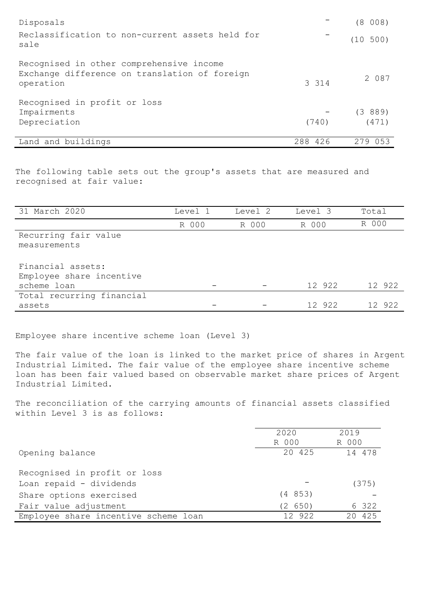| Disposals                                                                                              |            | (8 008)     |
|--------------------------------------------------------------------------------------------------------|------------|-------------|
| Reclassification to non-current assets held for<br>sale                                                |            | (10 500)    |
| Recognised in other comprehensive income<br>Exchange difference on translation of foreign<br>operation | 3 3 1 4    | 2 087       |
| Recognised in profit or loss                                                                           |            |             |
| Impairments                                                                                            |            | (3889)      |
| Depreciation                                                                                           | (740)      | (471)       |
| Land and buildings                                                                                     | 426<br>288 | 279<br>0.53 |

The following table sets out the group's assets that are measured and recognised at fair value:

| 31 March 2020             | Level 1 | Level 2 | Level 3 | Total  |
|---------------------------|---------|---------|---------|--------|
|                           | R 000   | R 000   | R 000   | R 000  |
| Recurring fair value      |         |         |         |        |
| measurements              |         |         |         |        |
|                           |         |         |         |        |
| Financial assets:         |         |         |         |        |
| Employee share incentive  |         |         |         |        |
| scheme loan               |         |         | 12 922  | 12 922 |
| Total recurring financial |         |         |         |        |
| assets                    |         |         | 12 922  | 12 922 |

Employee share incentive scheme loan (Level 3)

The fair value of the loan is linked to the market price of shares in Argent Industrial Limited. The fair value of the employee share incentive scheme loan has been fair valued based on observable market share prices of Argent Industrial Limited.

The reconciliation of the carrying amounts of financial assets classified within Level 3 is as follows:

|                                      | 2020    | 2019      |
|--------------------------------------|---------|-----------|
|                                      | R 000   | R 000     |
| Opening balance                      | 20 425  | 14 478    |
|                                      |         |           |
| Recognised in profit or loss         |         |           |
| Loan repaid - dividends              |         | (375)     |
| Share options exercised              | (4853)  |           |
| Fair value adjustment                | (2 650) | 6 322     |
| Employee share incentive scheme loan | 12 922  | 425<br>20 |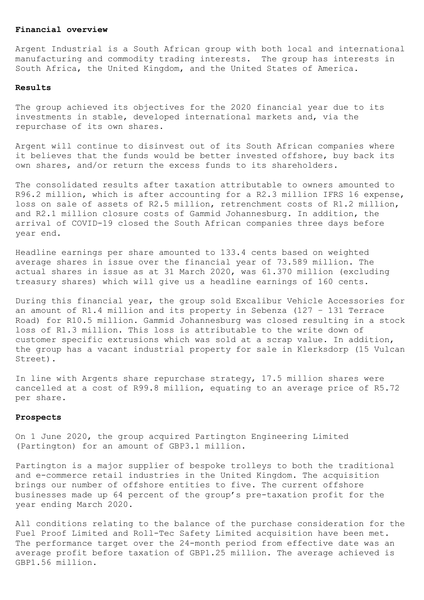## Financial overview

Argent Industrial is a South African group with both local and international manufacturing and commodity trading interests. The group has interests in South Africa, the United Kingdom, and the United States of America.

#### Results

The group achieved its objectives for the 2020 financial year due to its investments in stable, developed international markets and, via the repurchase of its own shares.

Argent will continue to disinvest out of its South African companies where it believes that the funds would be better invested offshore, buy back its own shares, and/or return the excess funds to its shareholders.

The consolidated results after taxation attributable to owners amounted to R96.2 million, which is after accounting for a R2.3 million IFRS 16 expense, loss on sale of assets of R2.5 million, retrenchment costs of R1.2 million, and R2.1 million closure costs of Gammid Johannesburg. In addition, the arrival of COVID-19 closed the South African companies three days before year end.

Headline earnings per share amounted to 133.4 cents based on weighted average shares in issue over the financial year of 73.589 million. The actual shares in issue as at 31 March 2020, was 61.370 million (excluding treasury shares) which will give us a headline earnings of 160 cents.

During this financial year, the group sold Excalibur Vehicle Accessories for an amount of R1.4 million and its property in Sebenza (127 – 131 Terrace Road) for R10.5 million. Gammid Johannesburg was closed resulting in a stock loss of R1.3 million. This loss is attributable to the write down of customer specific extrusions which was sold at a scrap value. In addition, the group has a vacant industrial property for sale in Klerksdorp (15 Vulcan Street).

In line with Argents share repurchase strategy, 17.5 million shares were cancelled at a cost of R99.8 million, equating to an average price of R5.72 per share.

### Prospects

On 1 June 2020, the group acquired Partington Engineering Limited (Partington) for an amount of GBP3.1 million.

Partington is a major supplier of bespoke trolleys to both the traditional and e-commerce retail industries in the United Kingdom. The acquisition brings our number of offshore entities to five. The current offshore businesses made up 64 percent of the group's pre-taxation profit for the year ending March 2020.

All conditions relating to the balance of the purchase consideration for the Fuel Proof Limited and Roll-Tec Safety Limited acquisition have been met. The performance target over the 24-month period from effective date was an average profit before taxation of GBP1.25 million. The average achieved is GBP1.56 million.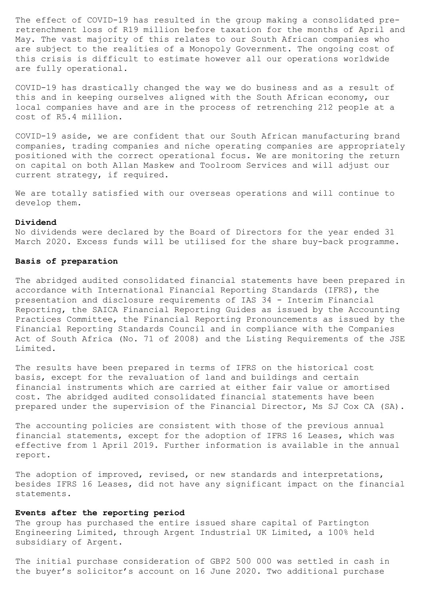The effect of COVID-19 has resulted in the group making a consolidated preretrenchment loss of R19 million before taxation for the months of April and May. The vast majority of this relates to our South African companies who are subject to the realities of a Monopoly Government. The ongoing cost of this crisis is difficult to estimate however all our operations worldwide are fully operational.

COVID-19 has drastically changed the way we do business and as a result of this and in keeping ourselves aligned with the South African economy, our local companies have and are in the process of retrenching 212 people at a cost of R5.4 million.

COVID-19 aside, we are confident that our South African manufacturing brand companies, trading companies and niche operating companies are appropriately positioned with the correct operational focus. We are monitoring the return on capital on both Allan Maskew and Toolroom Services and will adjust our current strategy, if required.

We are totally satisfied with our overseas operations and will continue to develop them.

#### Dividend

No dividends were declared by the Board of Directors for the year ended 31 March 2020. Excess funds will be utilised for the share buy-back programme.

## Basis of preparation

The abridged audited consolidated financial statements have been prepared in accordance with International Financial Reporting Standards (IFRS), the presentation and disclosure requirements of IAS 34 - Interim Financial Reporting, the SAICA Financial Reporting Guides as issued by the Accounting Practices Committee, the Financial Reporting Pronouncements as issued by the Financial Reporting Standards Council and in compliance with the Companies Act of South Africa (No. 71 of 2008) and the Listing Requirements of the JSE Limited.

The results have been prepared in terms of IFRS on the historical cost basis, except for the revaluation of land and buildings and certain financial instruments which are carried at either fair value or amortised cost. The abridged audited consolidated financial statements have been prepared under the supervision of the Financial Director, Ms SJ Cox CA (SA).

The accounting policies are consistent with those of the previous annual financial statements, except for the adoption of IFRS 16 Leases, which was effective from 1 April 2019. Further information is available in the annual report.

The adoption of improved, revised, or new standards and interpretations, besides IFRS 16 Leases, did not have any significant impact on the financial statements.

## Events after the reporting period

The group has purchased the entire issued share capital of Partington Engineering Limited, through Argent Industrial UK Limited, a 100% held subsidiary of Argent.

The initial purchase consideration of GBP2 500 000 was settled in cash in the buyer's solicitor's account on 16 June 2020. Two additional purchase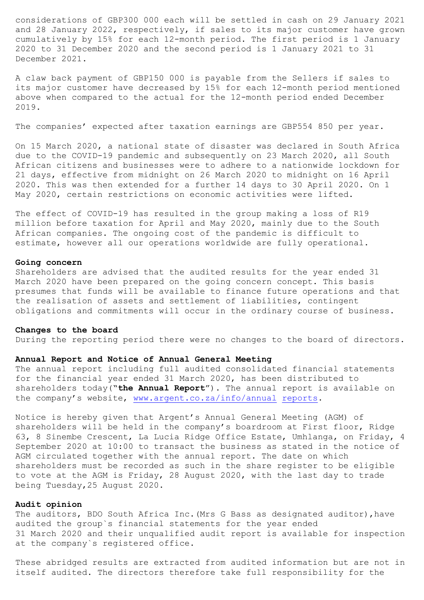considerations of GBP300 000 each will be settled in cash on 29 January 2021 and 28 January 2022, respectively, if sales to its major customer have grown cumulatively by 15% for each 12-month period. The first period is 1 January 2020 to 31 December 2020 and the second period is 1 January 2021 to 31 December 2021.

A claw back payment of GBP150 000 is payable from the Sellers if sales to its major customer have decreased by 15% for each 12-month period mentioned above when compared to the actual for the 12-month period ended December 2019.

The companies' expected after taxation earnings are GBP554 850 per year.

On 15 March 2020, a national state of disaster was declared in South Africa due to the COVID-19 pandemic and subsequently on 23 March 2020, all South African citizens and businesses were to adhere to a nationwide lockdown for 21 days, effective from midnight on 26 March 2020 to midnight on 16 April 2020. This was then extended for a further 14 days to 30 April 2020. On 1 May 2020, certain restrictions on economic activities were lifted.

The effect of COVID-19 has resulted in the group making a loss of R19 million before taxation for April and May 2020, mainly due to the South African companies. The ongoing cost of the pandemic is difficult to estimate, however all our operations worldwide are fully operational.

#### Going concern

Shareholders are advised that the audited results for the year ended 31 March 2020 have been prepared on the going concern concept. This basis presumes that funds will be available to finance future operations and that the realisation of assets and settlement of liabilities, contingent obligations and commitments will occur in the ordinary course of business.

#### Changes to the board

During the reporting period there were no changes to the board of directors.

## Annual Report and Notice of Annual General Meeting

The annual report including full audited consolidated financial statements for the financial year ended 31 March 2020, has been distributed to shareholders today("the Annual Report"). The annual report is available on the company's website, www.argent.co.za/info/annual reports.

Notice is hereby given that Argent's Annual General Meeting (AGM) of shareholders will be held in the company's boardroom at First floor, Ridge 63, 8 Sinembe Crescent, La Lucia Ridge Office Estate, Umhlanga, on Friday, 4 September 2020 at 10:00 to transact the business as stated in the notice of AGM circulated together with the annual report. The date on which shareholders must be recorded as such in the share register to be eligible to vote at the AGM is Friday, 28 August 2020, with the last day to trade being Tuesday,25 August 2020.

## Audit opinion

The auditors, BDO South Africa Inc.(Mrs G Bass as designated auditor),have audited the group`s financial statements for the year ended 31 March 2020 and their unqualified audit report is available for inspection at the company`s registered office.

These abridged results are extracted from audited information but are not in itself audited. The directors therefore take full responsibility for the